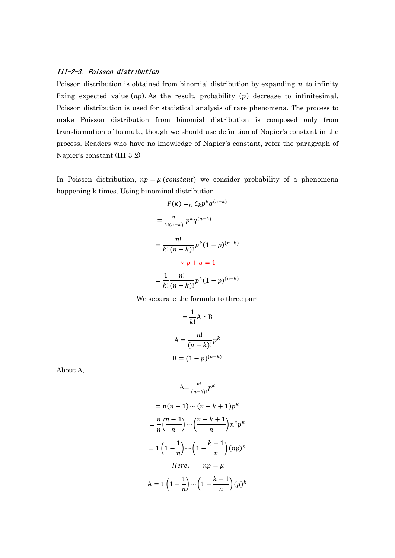## III-2-3. Poisson distribution

Poisson distribution is obtained from binomial distribution by expanding  $n$  to infinity fixing expected value  $(np)$ . As the result, probability  $(p)$  decrease to infinitesimal. Poisson distribution is used for statistical analysis of rare phenomena. The process to make Poisson distribution from binomial distribution is composed only from transformation of formula, though we should use definition of Napier's constant in the process. Readers who have no knowledge of Napier's constant, refer the paragraph of Napier's constant (III-3-2)

In Poisson distribution,  $np = \mu$  (constant) we consider probability of a phenomena happening k times. Using binominal distribution

$$
P(k) =_{n} C_{k} p^{k} q^{(n-k)}
$$

$$
= \frac{n!}{k!(n-k)!} p^{k} q^{(n-k)}
$$

$$
= \frac{n!}{k! (n-k)!} p^{k} (1-p)^{(n-k)}
$$

$$
\therefore p + q = 1
$$

$$
= \frac{1}{k!} \frac{n!}{(n-k)!} p^{k} (1-p)^{(n-k)}
$$

We separate the formula to three part

$$
= \frac{1}{k!} A \cdot B
$$

$$
A = \frac{n!}{(n-k)!} p^{k}
$$

$$
B = (1-p)^{(n-k)}
$$

About A,

$$
A = \frac{n!}{(n-k)!} p^k
$$
  
= n(n-1) \cdots (n-k+1)p^k  
=  $\frac{n}{n} \left(\frac{n-1}{n}\right) \cdots \left(\frac{n-k+1}{n}\right) n^k p^k$   
=  $1 \left(1 - \frac{1}{n}\right) \cdots \left(1 - \frac{k-1}{n}\right) (np)^k$   
Here,  $np = \mu$   
A =  $1 \left(1 - \frac{1}{n}\right) \cdots \left(1 - \frac{k-1}{n}\right) (\mu)^k$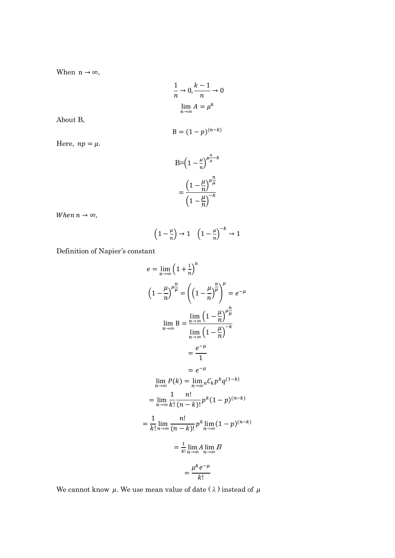When  $n \to \infty$ ,

$$
\frac{1}{n} \to 0, \frac{k-1}{n} \to 0
$$

$$
\lim_{n \to \infty} A = \mu^k
$$

About B,

$$
B=(1-p)^{(n-k)}
$$

Here,  $np = \mu$ .

$$
B = \left(1 - \frac{\mu}{n}\right)^{\mu \frac{n}{\mu} - k}
$$

$$
= \frac{\left(1 - \frac{\mu}{n}\right)^{\mu \frac{n}{\mu}}}{\left(1 - \frac{\mu}{n}\right)^{-k}}
$$

When  $n \to \infty$ ,

$$
\left(1 - \frac{\mu}{n}\right) \to 1 \quad \left(1 - \frac{\mu}{n}\right)^{-k} \to 1
$$

Definition of Napier's constant

$$
e = \lim_{n \to \infty} \left(1 + \frac{1}{n}\right)^n
$$
  

$$
\left(1 - \frac{\mu}{n}\right)^{\mu \frac{n}{\mu}} = \left(\left(1 - \frac{\mu}{n}\right)^{\frac{n}{\mu}}\right)^{\mu} = e^{-\mu}
$$
  

$$
\lim_{n \to \infty} B = \frac{\lim_{n \to \infty} \left(1 - \frac{\mu}{n}\right)^{\mu \frac{n}{\mu}}}{\lim_{n \to \infty} \left(1 - \frac{\mu}{n}\right)^{-k}}
$$
  

$$
= \frac{e^{-\mu}}{1}
$$
  

$$
= e^{-\mu}
$$
  

$$
\lim_{n \to \infty} P(k) = \lim_{n \to \infty} c_k p^k q^{(1-k)}
$$
  

$$
= \lim_{n \to \infty} \frac{1}{k!} \frac{n!}{(n-k)!} p^k (1-p)^{(n-k)}
$$
  

$$
= \frac{1}{k!} \lim_{n \to \infty} \frac{n!}{(n-k)!} p^k \lim_{n \to \infty} (1-p)^{(n-k)}
$$
  

$$
= \frac{1}{k!} \lim_{n \to \infty} A \lim_{n \to \infty} B
$$
  

$$
= \frac{\mu^k e^{-\mu}}{k!}
$$

We cannot know  $\,\mu.$  We use mean value of date (  $\lambda$  ) instead of  $\,\mu$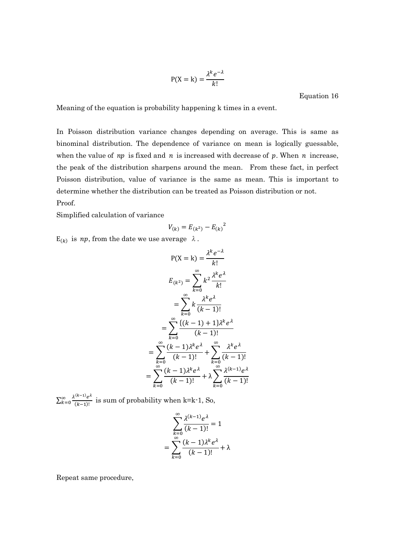$$
P(X = k) = \frac{\lambda^k e^{-\lambda}}{k!}
$$

Equation 16

Meaning of the equation is probability happening k times in a event.

In Poisson distribution variance changes depending on average. This is same as binominal distribution. The dependence of variance on mean is logically guessable, when the value of  $np$  is fixed and  $n$  is increased with decrease of  $p$ . When  $n$  increase, the peak of the distribution sharpens around the mean. From these fact, in perfect Poisson distribution, value of variance is the same as mean. This is important to determine whether the distribution can be treated as Poisson distribution or not. Proof.

Simplified calculation of variance

$$
V_{(k)} = E_{(k^2)} - E_{(k)}^2
$$

 $E_{(k)}$  is *np*, from the date we use average  $\lambda$ .

$$
P(X = k) = \frac{\lambda^k e^{-\lambda}}{k!}
$$
  
\n
$$
E_{(k^2)} = \sum_{k=0}^{\infty} k^2 \frac{\lambda^k e^{\lambda}}{k!}
$$
  
\n
$$
= \sum_{k=0}^{\infty} k \frac{\lambda^k e^{\lambda}}{(k-1)!}
$$
  
\n
$$
= \sum_{k=0}^{\infty} \frac{\{(k-1)+1\}\lambda^k e^{\lambda}}{(k-1)!}
$$
  
\n
$$
= \sum_{k=0}^{\infty} \frac{(k-1)\lambda^k e^{\lambda}}{(k-1)!} + \sum_{k=0}^{\infty} \frac{\lambda^k e^{\lambda}}{(k-1)!}
$$
  
\n
$$
= \sum_{k=0}^{\infty} \frac{(k-1)\lambda^k e^{\lambda}}{(k-1)!} + \lambda \sum_{k=0}^{\infty} \frac{\lambda^{(k-1)} e^{\lambda}}{(k-1)!}
$$

 $\sum_{k=0}^{\infty} \frac{\lambda^{(k-1)} e^{\lambda}}{(k-1)!}$  $(k-1)!$  $\sum_{k=0}^{\infty} \frac{\lambda^{(k-1)} e^{k}}{(k-1)!}$  is sum of probability when k=k-1, So,

$$
\sum_{k=0}^{\infty} \frac{\lambda^{(k-1)} e^{\lambda}}{(k-1)!} = 1
$$

$$
= \sum_{k=0}^{\infty} \frac{(k-1)\lambda^k e^{\lambda}}{(k-1)!} + \lambda
$$

Repeat same procedure,